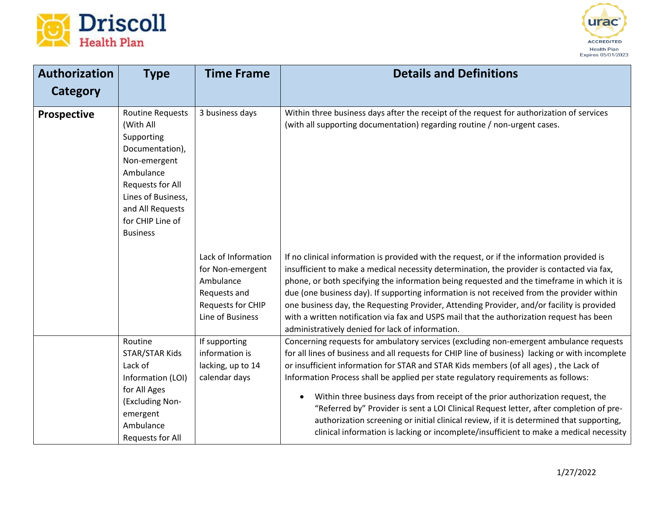



| <b>Authorization</b> | <b>Type</b>                                                                                                                                                                                             | <b>Time Frame</b>                                                                                                    | <b>Details and Definitions</b>                                                                                                                                                                                                                                                                                                                                                                                                                                                                                                                                                                                                                                                                                                               |
|----------------------|---------------------------------------------------------------------------------------------------------------------------------------------------------------------------------------------------------|----------------------------------------------------------------------------------------------------------------------|----------------------------------------------------------------------------------------------------------------------------------------------------------------------------------------------------------------------------------------------------------------------------------------------------------------------------------------------------------------------------------------------------------------------------------------------------------------------------------------------------------------------------------------------------------------------------------------------------------------------------------------------------------------------------------------------------------------------------------------------|
| <b>Category</b>      |                                                                                                                                                                                                         |                                                                                                                      |                                                                                                                                                                                                                                                                                                                                                                                                                                                                                                                                                                                                                                                                                                                                              |
| <b>Prospective</b>   | <b>Routine Requests</b><br>(With All<br>Supporting<br>Documentation),<br>Non-emergent<br>Ambulance<br>Requests for All<br>Lines of Business,<br>and All Requests<br>for CHIP Line of<br><b>Business</b> | 3 business days                                                                                                      | Within three business days after the receipt of the request for authorization of services<br>(with all supporting documentation) regarding routine / non-urgent cases.                                                                                                                                                                                                                                                                                                                                                                                                                                                                                                                                                                       |
|                      |                                                                                                                                                                                                         | Lack of Information<br>for Non-emergent<br>Ambulance<br>Requests and<br><b>Requests for CHIP</b><br>Line of Business | If no clinical information is provided with the request, or if the information provided is<br>insufficient to make a medical necessity determination, the provider is contacted via fax,<br>phone, or both specifying the information being requested and the timeframe in which it is<br>due (one business day). If supporting information is not received from the provider within<br>one business day, the Requesting Provider, Attending Provider, and/or facility is provided<br>with a written notification via fax and USPS mail that the authorization request has been<br>administratively denied for lack of information.                                                                                                          |
|                      | Routine<br><b>STAR/STAR Kids</b><br>Lack of<br>Information (LOI)<br>for All Ages<br>(Excluding Non-<br>emergent<br>Ambulance<br>Requests for All                                                        | If supporting<br>information is<br>lacking, up to 14<br>calendar days                                                | Concerning requests for ambulatory services (excluding non-emergent ambulance requests<br>for all lines of business and all requests for CHIP line of business) lacking or with incomplete<br>or insufficient information for STAR and STAR Kids members (of all ages), the Lack of<br>Information Process shall be applied per state regulatory requirements as follows:<br>Within three business days from receipt of the prior authorization request, the<br>"Referred by" Provider is sent a LOI Clinical Request letter, after completion of pre-<br>authorization screening or initial clinical review, if it is determined that supporting,<br>clinical information is lacking or incomplete/insufficient to make a medical necessity |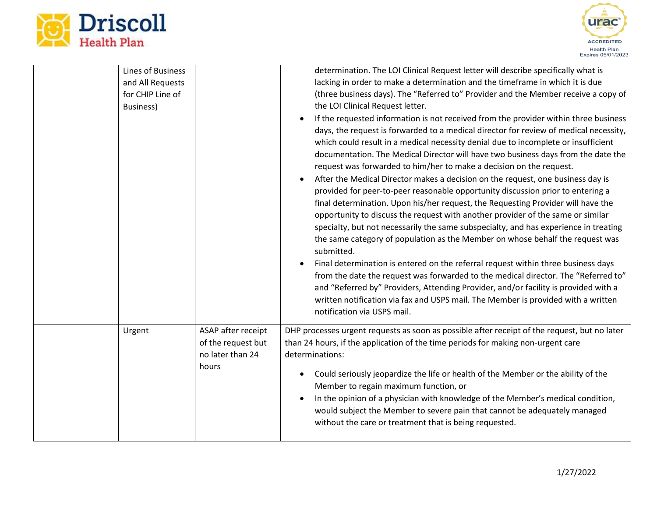



| <b>Lines of Business</b><br>and All Requests<br>for CHIP Line of<br>Business) |                                                                       | determination. The LOI Clinical Request letter will describe specifically what is<br>lacking in order to make a determination and the timeframe in which it is due<br>(three business days). The "Referred to" Provider and the Member receive a copy of<br>the LOI Clinical Request letter.<br>If the requested information is not received from the provider within three business<br>days, the request is forwarded to a medical director for review of medical necessity,<br>which could result in a medical necessity denial due to incomplete or insufficient<br>documentation. The Medical Director will have two business days from the date the<br>request was forwarded to him/her to make a decision on the request.<br>After the Medical Director makes a decision on the request, one business day is<br>provided for peer-to-peer reasonable opportunity discussion prior to entering a<br>final determination. Upon his/her request, the Requesting Provider will have the<br>opportunity to discuss the request with another provider of the same or similar<br>specialty, but not necessarily the same subspecialty, and has experience in treating<br>the same category of population as the Member on whose behalf the request was<br>submitted.<br>Final determination is entered on the referral request within three business days<br>from the date the request was forwarded to the medical director. The "Referred to"<br>and "Referred by" Providers, Attending Provider, and/or facility is provided with a<br>written notification via fax and USPS mail. The Member is provided with a written<br>notification via USPS mail. |
|-------------------------------------------------------------------------------|-----------------------------------------------------------------------|-----------------------------------------------------------------------------------------------------------------------------------------------------------------------------------------------------------------------------------------------------------------------------------------------------------------------------------------------------------------------------------------------------------------------------------------------------------------------------------------------------------------------------------------------------------------------------------------------------------------------------------------------------------------------------------------------------------------------------------------------------------------------------------------------------------------------------------------------------------------------------------------------------------------------------------------------------------------------------------------------------------------------------------------------------------------------------------------------------------------------------------------------------------------------------------------------------------------------------------------------------------------------------------------------------------------------------------------------------------------------------------------------------------------------------------------------------------------------------------------------------------------------------------------------------------------------------------------------------------------------------------------------------------|
| Urgent                                                                        | ASAP after receipt<br>of the request but<br>no later than 24<br>hours | DHP processes urgent requests as soon as possible after receipt of the request, but no later<br>than 24 hours, if the application of the time periods for making non-urgent care<br>determinations:<br>Could seriously jeopardize the life or health of the Member or the ability of the<br>$\bullet$<br>Member to regain maximum function, or<br>In the opinion of a physician with knowledge of the Member's medical condition,<br>$\bullet$<br>would subject the Member to severe pain that cannot be adequately managed<br>without the care or treatment that is being requested.                                                                                                                                                                                                                                                                                                                                                                                                                                                                                                                                                                                                                                                                                                                                                                                                                                                                                                                                                                                                                                                                     |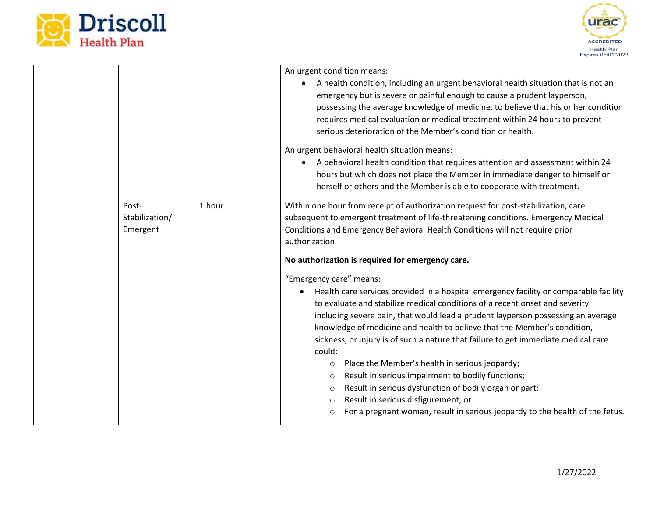



|                                     |        | An urgent condition means:<br>A health condition, including an urgent behavioral health situation that is not an<br>emergency but is severe or painful enough to cause a prudent layperson,<br>possessing the average knowledge of medicine, to believe that his or her condition<br>requires medical evaluation or medical treatment within 24 hours to prevent<br>serious deterioration of the Member's condition or health.<br>An urgent behavioral health situation means:<br>A behavioral health condition that requires attention and assessment within 24<br>hours but which does not place the Member in immediate danger to himself or<br>herself or others and the Member is able to cooperate with treatment.                                                                                                                                                                                                                                                                                                                                                                                                                          |
|-------------------------------------|--------|---------------------------------------------------------------------------------------------------------------------------------------------------------------------------------------------------------------------------------------------------------------------------------------------------------------------------------------------------------------------------------------------------------------------------------------------------------------------------------------------------------------------------------------------------------------------------------------------------------------------------------------------------------------------------------------------------------------------------------------------------------------------------------------------------------------------------------------------------------------------------------------------------------------------------------------------------------------------------------------------------------------------------------------------------------------------------------------------------------------------------------------------------|
| Post-<br>Stabilization/<br>Emergent | 1 hour | Within one hour from receipt of authorization request for post-stabilization, care<br>subsequent to emergent treatment of life-threatening conditions. Emergency Medical<br>Conditions and Emergency Behavioral Health Conditions will not require prior<br>authorization.<br>No authorization is required for emergency care.<br>"Emergency care" means:<br>Health care services provided in a hospital emergency facility or comparable facility<br>to evaluate and stabilize medical conditions of a recent onset and severity,<br>including severe pain, that would lead a prudent layperson possessing an average<br>knowledge of medicine and health to believe that the Member's condition,<br>sickness, or injury is of such a nature that failure to get immediate medical care<br>could:<br>Place the Member's health in serious jeopardy;<br>$\circ$<br>Result in serious impairment to bodily functions;<br>$\circ$<br>Result in serious dysfunction of bodily organ or part;<br>$\circ$<br>Result in serious disfigurement; or<br>$\circ$<br>For a pregnant woman, result in serious jeopardy to the health of the fetus.<br>$\circ$ |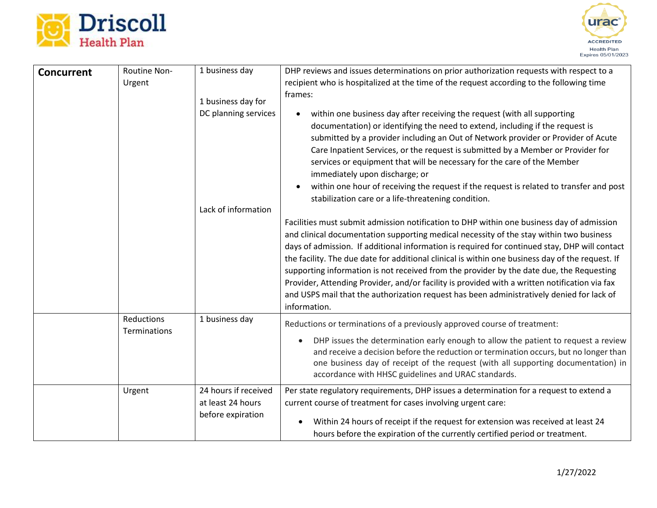



| <b>Concurrent</b> | Routine Non-                             | 1 business day                                                 | DHP reviews and issues determinations on prior authorization requests with respect to a                                                                                                                                                                                                                                                                                                                                                                                                                                                                                                                                                                                                             |
|-------------------|------------------------------------------|----------------------------------------------------------------|-----------------------------------------------------------------------------------------------------------------------------------------------------------------------------------------------------------------------------------------------------------------------------------------------------------------------------------------------------------------------------------------------------------------------------------------------------------------------------------------------------------------------------------------------------------------------------------------------------------------------------------------------------------------------------------------------------|
|                   | Urgent                                   | 1 business day for<br>DC planning services                     | recipient who is hospitalized at the time of the request according to the following time<br>frames:<br>within one business day after receiving the request (with all supporting<br>documentation) or identifying the need to extend, including if the request is<br>submitted by a provider including an Out of Network provider or Provider of Acute<br>Care Inpatient Services, or the request is submitted by a Member or Provider for<br>services or equipment that will be necessary for the care of the Member<br>immediately upon discharge; or<br>within one hour of receiving the request if the request is related to transfer and post                                                   |
|                   |                                          | Lack of information                                            | stabilization care or a life-threatening condition.                                                                                                                                                                                                                                                                                                                                                                                                                                                                                                                                                                                                                                                 |
|                   |                                          |                                                                | Facilities must submit admission notification to DHP within one business day of admission<br>and clinical documentation supporting medical necessity of the stay within two business<br>days of admission. If additional information is required for continued stay, DHP will contact<br>the facility. The due date for additional clinical is within one business day of the request. If<br>supporting information is not received from the provider by the date due, the Requesting<br>Provider, Attending Provider, and/or facility is provided with a written notification via fax<br>and USPS mail that the authorization request has been administratively denied for lack of<br>information. |
|                   | <b>Reductions</b><br><b>Terminations</b> | 1 business day                                                 | Reductions or terminations of a previously approved course of treatment:<br>DHP issues the determination early enough to allow the patient to request a review<br>$\bullet$<br>and receive a decision before the reduction or termination occurs, but no longer than<br>one business day of receipt of the request (with all supporting documentation) in<br>accordance with HHSC guidelines and URAC standards.                                                                                                                                                                                                                                                                                    |
|                   | Urgent                                   | 24 hours if received<br>at least 24 hours<br>before expiration | Per state regulatory requirements, DHP issues a determination for a request to extend a<br>current course of treatment for cases involving urgent care:<br>Within 24 hours of receipt if the request for extension was received at least 24<br>hours before the expiration of the currently certified period or treatment.                                                                                                                                                                                                                                                                                                                                                                          |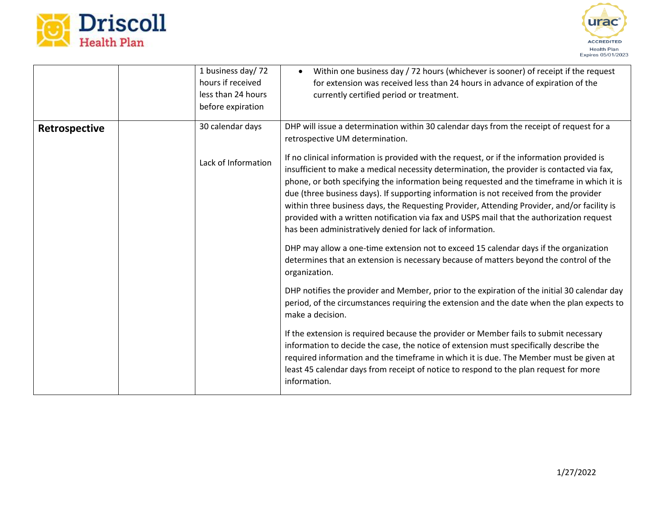



|               | 1 business day/72<br>hours if received<br>less than 24 hours<br>before expiration | Within one business day / 72 hours (whichever is sooner) of receipt if the request<br>for extension was received less than 24 hours in advance of expiration of the<br>currently certified period or treatment.                                                                                                                                                                                                                               |
|---------------|-----------------------------------------------------------------------------------|-----------------------------------------------------------------------------------------------------------------------------------------------------------------------------------------------------------------------------------------------------------------------------------------------------------------------------------------------------------------------------------------------------------------------------------------------|
| Retrospective | 30 calendar days<br>Lack of Information                                           | DHP will issue a determination within 30 calendar days from the receipt of request for a<br>retrospective UM determination.<br>If no clinical information is provided with the request, or if the information provided is<br>insufficient to make a medical necessity determination, the provider is contacted via fax,                                                                                                                       |
|               |                                                                                   | phone, or both specifying the information being requested and the timeframe in which it is<br>due (three business days). If supporting information is not received from the provider<br>within three business days, the Requesting Provider, Attending Provider, and/or facility is<br>provided with a written notification via fax and USPS mail that the authorization request<br>has been administratively denied for lack of information. |
|               |                                                                                   | DHP may allow a one-time extension not to exceed 15 calendar days if the organization<br>determines that an extension is necessary because of matters beyond the control of the<br>organization.                                                                                                                                                                                                                                              |
|               |                                                                                   | DHP notifies the provider and Member, prior to the expiration of the initial 30 calendar day<br>period, of the circumstances requiring the extension and the date when the plan expects to<br>make a decision.                                                                                                                                                                                                                                |
|               |                                                                                   | If the extension is required because the provider or Member fails to submit necessary<br>information to decide the case, the notice of extension must specifically describe the<br>required information and the timeframe in which it is due. The Member must be given at<br>least 45 calendar days from receipt of notice to respond to the plan request for more<br>information.                                                            |